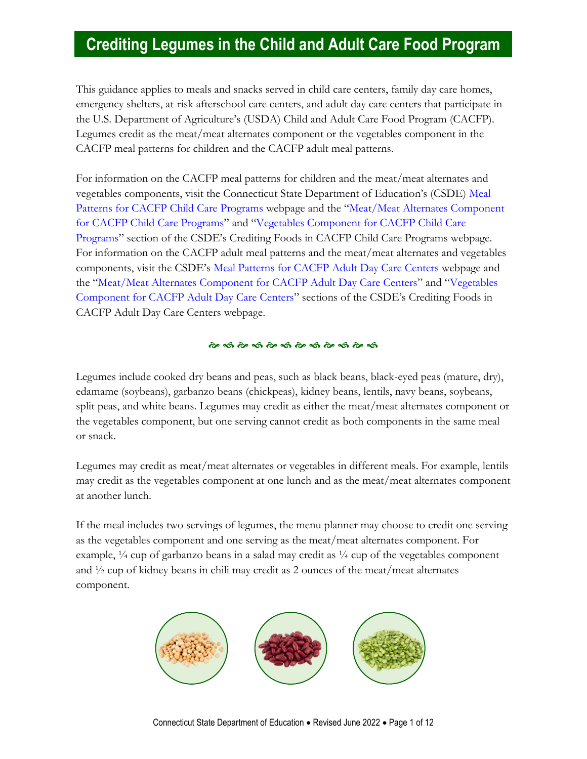## **Crediting Legumes in the Child and Adult Care Food Program**

This guidance applies to meals and snacks served in child care centers, family day care homes, emergency shelters, at-risk afterschool care centers, and adult day care centers that participate in the U.S. Department of Agriculture's (USDA) Child and Adult Care Food Program (CACFP). Legumes credit as the meat/meat alternates component or the vegetables component in the CACFP meal patterns for children and the CACFP adult meal patterns.

For information on the CACFP meal patterns for children and the meat/meat alternates and vegetables components, visit the Connecticut State Department of Education's (CSDE) [Meal](https://portal.ct.gov/SDE/Nutrition/Meal-Patterns-CACFP-Child-Care-Programs)  [Patterns for CACFP Child Care Programs](https://portal.ct.gov/SDE/Nutrition/Meal-Patterns-CACFP-Child-Care-Programs) webpage and the "[Meat/Meat Alternates Component](https://portal.ct.gov/SDE/Nutrition/Crediting-Foods-in-CACFP-Child-Care-Programs/Documents#MMA)  [for CACFP Child Care Programs](https://portal.ct.gov/SDE/Nutrition/Crediting-Foods-in-CACFP-Child-Care-Programs/Documents#MMA)" and "[Vegetables Component for CACFP Child Care](https://portal.ct.gov/SDE/Nutrition/Crediting-Foods-in-CACFP-Child-Care-Programs/Documents#Vegetables)  [Programs](https://portal.ct.gov/SDE/Nutrition/Crediting-Foods-in-CACFP-Child-Care-Programs/Documents#Vegetables)" section of the CSDE's Crediting Foods in CACFP Child Care Programs webpage. For information on the CACFP adult meal patterns and the meat/meat alternates and vegetables components, visit the CSDE's [Meal Patterns for CACFP Adult Day Care Centers](https://portal.ct.gov/SDE/Nutrition/Meal-Patterns-CACFP-Adult-Centers) webpage and the "[Meat/Meat Alternates Component for CACFP Adult Day Care Centers](https://portal.ct.gov/SDE/Nutrition/Crediting-Foods-in-CACFP-Adult-Day-Care-Centers/Documents#MMA)" and "[Vegetables](https://portal.ct.gov/SDE/Nutrition/Crediting-Foods-in-CACFP-Adult-Day-Care-Centers/Documents#Vegetables)  [Component for CACFP Adult Day Care Centers](https://portal.ct.gov/SDE/Nutrition/Crediting-Foods-in-CACFP-Adult-Day-Care-Centers/Documents#Vegetables)" sections of the CSDE's Crediting Foods in CACFP Adult Day Care Centers webpage.

#### 

Legumes include cooked dry beans and peas, such as black beans, black-eyed peas (mature, dry), edamame (soybeans), garbanzo beans (chickpeas), kidney beans, lentils, navy beans, soybeans, split peas, and white beans. Legumes may credit as either the meat/meat alternates component or the vegetables component, but one serving cannot credit as both components in the same meal or snack.

Legumes may credit as meat/meat alternates or vegetables in different meals. For example, lentils may credit as the vegetables component at one lunch and as the meat/meat alternates component at another lunch.

If the meal includes two servings of legumes, the menu planner may choose to credit one serving as the vegetables component and one serving as the meat/meat alternates component. For example,  $\frac{1}{4}$  cup of garbanzo beans in a salad may credit as  $\frac{1}{4}$  cup of the vegetables component and  $\frac{1}{2}$  cup of kidney beans in chili may credit as 2 ounces of the meat/meat alternates component.

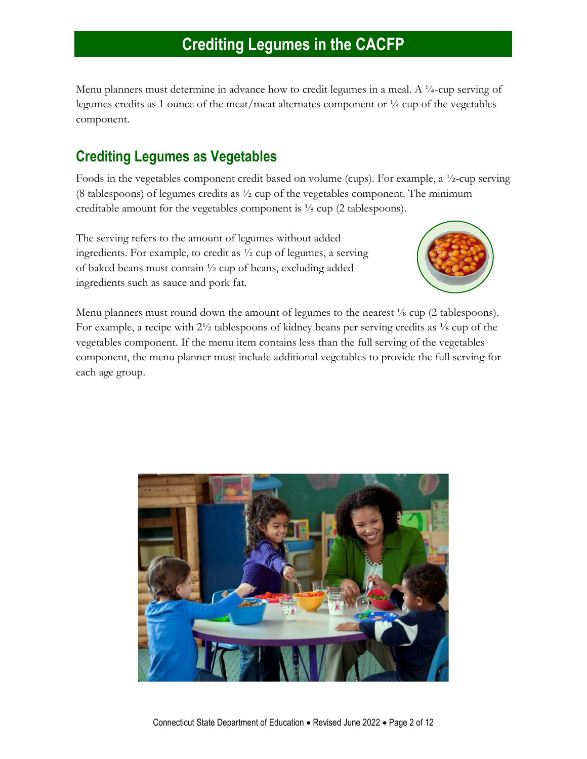Menu planners must determine in advance how to credit legumes in a meal. A ¼-cup serving of legumes credits as 1 ounce of the meat/meat alternates component or ¼ cup of the vegetables component.

### **Crediting Legumes as Vegetables**

Foods in the vegetables component credit based on volume (cups). For example, a ½-cup serving (8 tablespoons) of legumes credits as  $\frac{1}{2}$  cup of the vegetables component. The minimum creditable amount for the vegetables component is ⅛ cup (2 tablespoons).

The serving refers to the amount of legumes without added ingredients. For example, to credit as ½ cup of legumes, a serving of baked beans must contain ½ cup of beans, excluding added ingredients such as sauce and pork fat.



Menu planners must round down the amount of legumes to the nearest  $\frac{1}{8}$  cup (2 tablespoons). For example, a recipe with  $2\frac{1}{2}$  tablespoons of kidney beans per serving credits as  $\frac{1}{8}$  cup of the vegetables component. If the menu item contains less than the full serving of the vegetables component, the menu planner must include additional vegetables to provide the full serving for each age group.

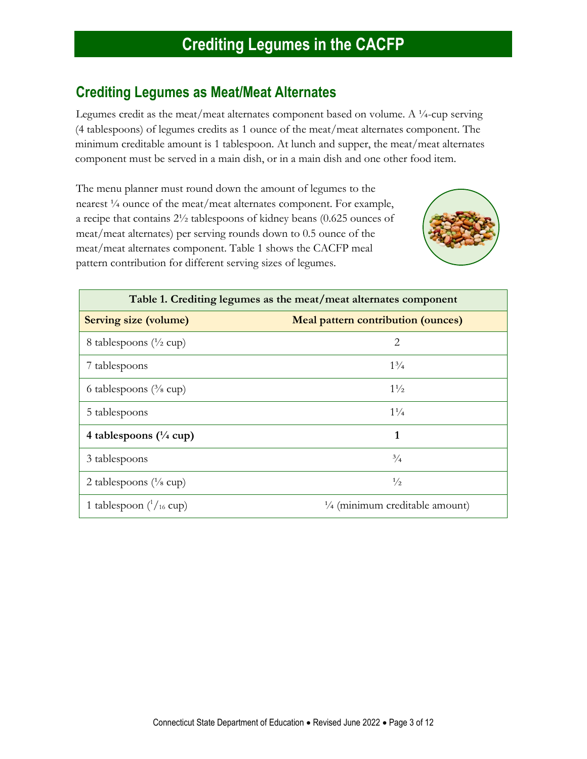### **Crediting Legumes as Meat/Meat Alternates**

Legumes credit as the meat/meat alternates component based on volume. A ¼-cup serving (4 tablespoons) of legumes credits as 1 ounce of the meat/meat alternates component. The minimum creditable amount is 1 tablespoon. At lunch and supper, the meat/meat alternates component must be served in a main dish, or in a main dish and one other food item.

The menu planner must round down the amount of legumes to the nearest ¼ ounce of the meat/meat alternates component. For example, a recipe that contains 2½ tablespoons of kidney beans (0.625 ounces of meat/meat alternates) per serving rounds down to 0.5 ounce of the meat/meat alternates component. Table 1 shows the CACFP meal pattern contribution for different serving sizes of legumes.



| Table 1. Crediting legumes as the meat/meat alternates component |                                           |
|------------------------------------------------------------------|-------------------------------------------|
| <b>Serving size (volume)</b>                                     | <b>Meal pattern contribution (ounces)</b> |
| 8 tablespoons $(\frac{1}{2}$ cup)                                | 2                                         |
| 7 tablespoons                                                    | $1\frac{3}{4}$                            |
| 6 tablespoons $(3/8 \text{ cup})$                                | $1\frac{1}{2}$                            |
| 5 tablespoons                                                    | $1\frac{1}{4}$                            |
| 4 tablespoons $(\frac{1}{4}$ cup)                                | 1                                         |
| 3 tablespoons                                                    | $^{3}/_{4}$                               |
| 2 tablespoons $(\frac{1}{8}$ cup)                                | $\frac{1}{2}$                             |
| 1 tablespoon $\binom{1}{16}$ cup)                                | $\frac{1}{4}$ (minimum creditable amount) |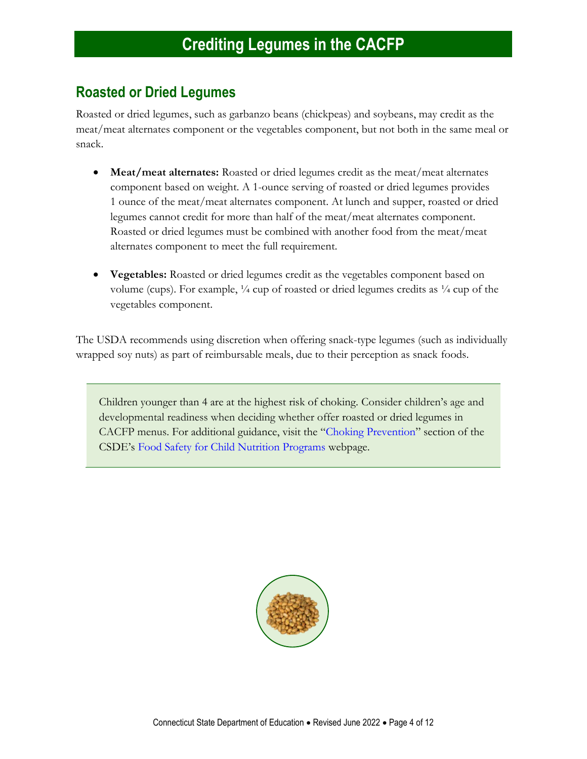### **Roasted or Dried Legumes**

Roasted or dried legumes, such as garbanzo beans (chickpeas) and soybeans, may credit as the meat/meat alternates component or the vegetables component, but not both in the same meal or snack.

- **Meat/meat alternates:** Roasted or dried legumes credit as the meat/meat alternates component based on weight. A 1-ounce serving of roasted or dried legumes provides 1 ounce of the meat/meat alternates component. At lunch and supper, roasted or dried legumes cannot credit for more than half of the meat/meat alternates component. Roasted or dried legumes must be combined with another food from the meat/meat alternates component to meet the full requirement.
- **Vegetables:** Roasted or dried legumes credit as the vegetables component based on volume (cups). For example, ¼ cup of roasted or dried legumes credits as ¼ cup of the vegetables component.

The USDA recommends using discretion when offering snack-type legumes (such as individually wrapped soy nuts) as part of reimbursable meals, due to their perception as snack foods.

Children younger than 4 are at the highest risk of choking. Consider children's age and developmental readiness when deciding whether offer roasted or dried legumes in CACFP menus. For additional guidance, visit the "[Choking Prevention](https://portal.ct.gov/SDE/Nutrition/Food-Safety-for-Child-Nutrition-Programs/Documents#ChokingPrevention)" section of the CSDE's [Food Safety for Child Nutrition Programs](https://portal.ct.gov/SDE/Nutrition/Food-Safety-for-Child-Nutrition-Programs) webpage.

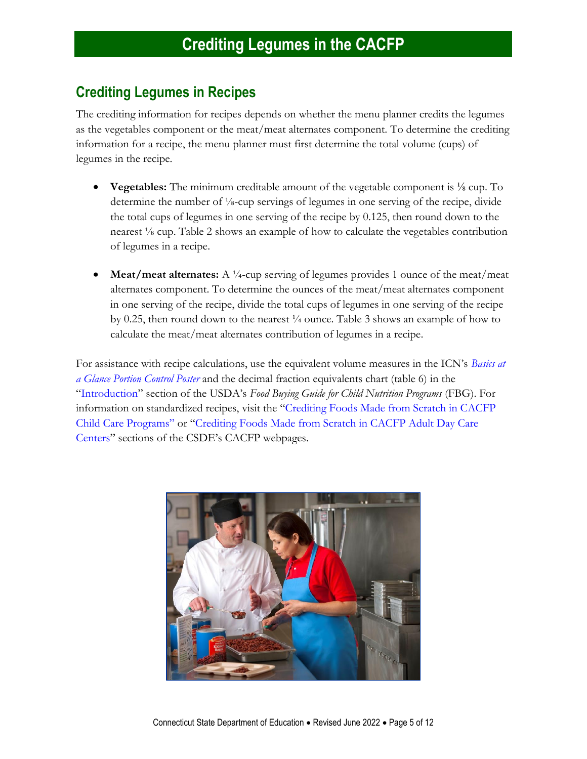### **Crediting Legumes in Recipes**

The crediting information for recipes depends on whether the menu planner credits the legumes as the vegetables component or the meat/meat alternates component. To determine the crediting information for a recipe, the menu planner must first determine the total volume (cups) of legumes in the recipe.

- **Vegetables:** The minimum creditable amount of the vegetable component is <sup>1/8</sup> cup. To determine the number of ⅛-cup servings of legumes in one serving of the recipe, divide the total cups of legumes in one serving of the recipe by 0.125, then round down to the nearest ⅛ cup. Table 2 shows an example of how to calculate the vegetables contribution of legumes in a recipe.
- **Meat/meat alternates:** A  $\frac{1}{4}$ -cup serving of legumes provides 1 ounce of the meat/meat alternates component. To determine the ounces of the meat/meat alternates component in one serving of the recipe, divide the total cups of legumes in one serving of the recipe by 0.25, then round down to the nearest ¼ ounce. Table 3 shows an example of how to calculate the meat/meat alternates contribution of legumes in a recipe.

For assistance with recipe calculations, use the equivalent volume measures in the ICN's *[Basics at](https://theicn.org/icn-resources-a-z/basics-at-a-glance/)  [a Glance Portion Control Poster](https://theicn.org/icn-resources-a-z/basics-at-a-glance/)* and the decimal fraction equivalents chart (table 6) in the "[Introduction](https://foodbuyingguide.fns.usda.gov/Content/TablesFBG/USDA_FBG_Introduction.pdf)" section of the USDA's *Food Buying Guide for Child Nutrition Programs* (FBG). For information on standardized recipes, visit the "[Crediting Foods Made from Scratch](https://portal.ct.gov/SDE/Nutrition/Crediting-Foods-in-CACFP-Child-Care-Programs/Documents#ScratchFoods) in CACFP [Child Care Programs](https://portal.ct.gov/SDE/Nutrition/Crediting-Foods-in-CACFP-Child-Care-Programs/Documents#ScratchFoods)" or "[Crediting Foods Made from Scratch in CACFP Adult Day Care](https://portal.ct.gov/SDE/Nutrition/Crediting-Foods-in-CACFP-Adult-Day-Care-Centers/Documents#ScratchFoods)  [Centers](https://portal.ct.gov/SDE/Nutrition/Crediting-Foods-in-CACFP-Adult-Day-Care-Centers/Documents#ScratchFoods)" sections of the CSDE's CACFP webpages.

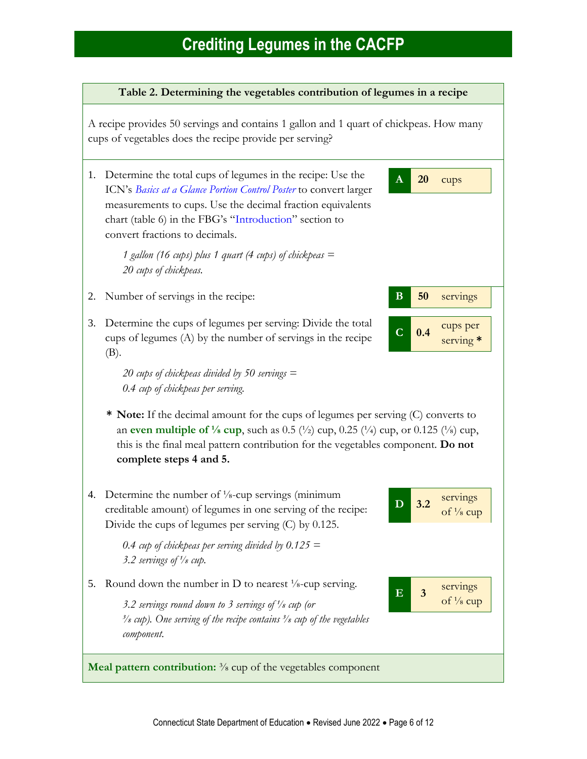#### **Table 2. Determining the vegetables contribution of legumes in a recipe**

A recipe provides 50 servings and contains 1 gallon and 1 quart of chickpeas. How many cups of vegetables does the recipe provide per serving?

1. Determine the total cups of legumes in the recipe: Use the ICN's *[Basics at a Glance Portion Control Poster](https://theicn.org/icn-resources-a-z/basics-at-a-glance/)* to convert larger measurements to cups. Use the decimal fraction equivalents chart (table 6) in the FBG's "[Introduction](https://foodbuyingguide.fns.usda.gov/Content/TablesFBG/USDA_FBG_Introduction.pdf)" section to convert fractions to decimals.

> *1 gallon (16 cups) plus 1 quart (4 cups) of chickpeas = 20 cups of chickpeas.*

- 2. Number of servings in the recipe: **B 50** servings
- 3. Determine the cups of legumes per serving: Divide the total cups of legumes (A) by the number of servings in the recipe (B).

*20 cups of chickpeas divided by 50 servings = 0.4 cup of chickpeas per serving.*

- **\* Note:** If the decimal amount for the cups of legumes per serving (C) converts to an **even multiple of**  $\frac{1}{8}$  cup, such as 0.5 ( $\frac{1}{2}$ ) cup, 0.25 ( $\frac{1}{4}$ ) cup, or 0.125 ( $\frac{1}{8}$ ) cup, this is the final meal pattern contribution for the vegetables component. **Do not complete steps 4 and 5.**
- 4. Determine the number of <sup>1</sup>/<sub>8</sub>-cup servings (minimum creditable amount) of legumes in one serving of the recipe: Divide the cups of legumes per serving (C) by 0.125.

*0.4 cup of chickpeas per serving divided by 0.125 = 3.2 servings of ⅛ cup.*

5. Round down the number in D to nearest  $\frac{1}{8}$ -cup serving.

*3.2 servings round down to 3 servings of ⅛ cup (or ⅜ cup). One serving of the recipe contains ⅜ cup of the vegetables component.*



**A 20** cups

**C 0.4**

cups per serving **\***

**Meal pattern contribution:** <sup>3</sup>/<sub>8</sub> cup of the vegetables component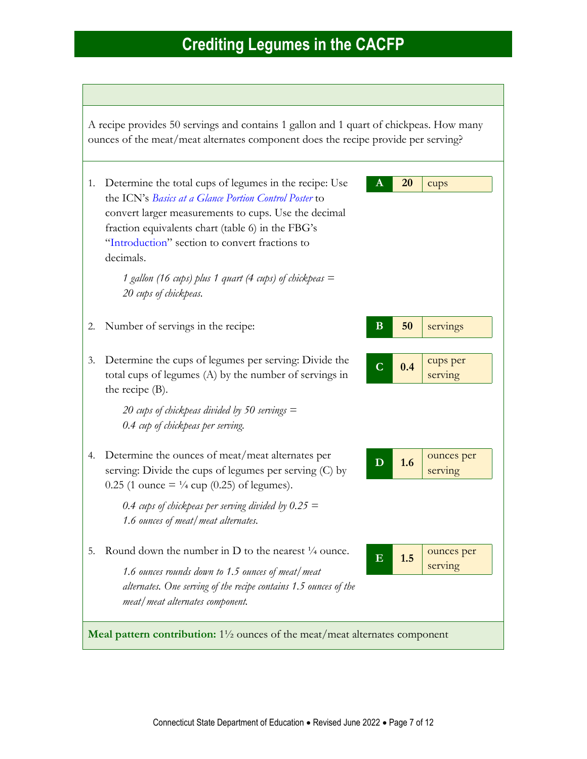A recipe provides 50 servings and contains 1 gallon and 1 quart of chickpeas. How many ounces of the meat/meat alternates component does the recipe provide per serving?

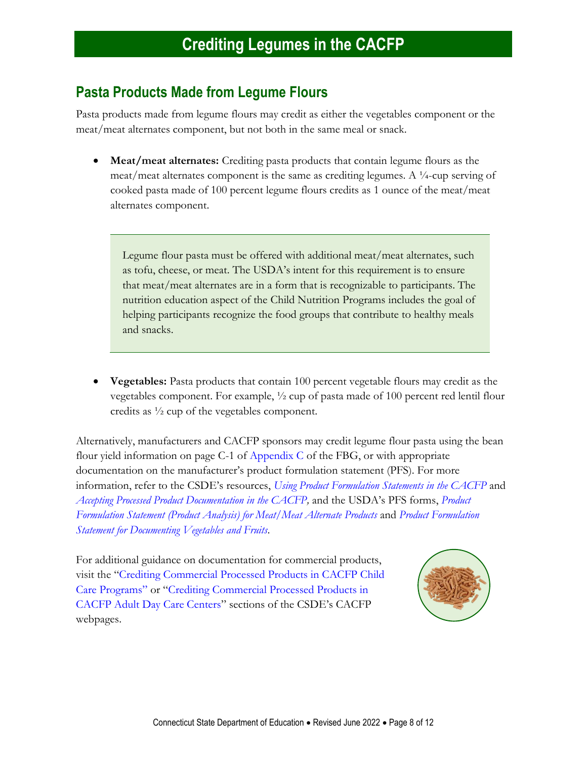### **Pasta Products Made from Legume Flours**

Pasta products made from legume flours may credit as either the vegetables component or the meat/meat alternates component, but not both in the same meal or snack.

• **Meat/meat alternates:** Crediting pasta products that contain legume flours as the meat/meat alternates component is the same as crediting legumes. A ¼-cup serving of cooked pasta made of 100 percent legume flours credits as 1 ounce of the meat/meat alternates component.

Legume flour pasta must be offered with additional meat/meat alternates, such as tofu, cheese, or meat. The USDA's intent for this requirement is to ensure that meat/meat alternates are in a form that is recognizable to participants. The nutrition education aspect of the Child Nutrition Programs includes the goal of helping participants recognize the food groups that contribute to healthy meals and snacks.

• **Vegetables:** Pasta products that contain 100 percent vegetable flours may credit as the vegetables component. For example, ½ cup of pasta made of 100 percent red lentil flour credits as ½ cup of the vegetables component.

Alternatively, manufacturers and CACFP sponsors may credit legume flour pasta using the bean flour yield information on page C-1 of [Appendix C](https://foodbuyingguide.fns.usda.gov/files/Reports/USDA_FBG_FoodItemsForFurtherProcessing_YieldTable.pdf) of the FBG, or with appropriate documentation on the manufacturer's product formulation statement (PFS). For more information, refer to the CSDE's resources, *[Using Product Formulation Statements in the CACFP](http://portal.ct.gov/-/media/SDE/Nutrition/CACFP/Crediting/Using_Product_Formulation_Statements_CACFP.pdf)* and *[Accepting Processed Product Documentation in the CACFP,](https://portal.ct.gov/-/media/SDE/Nutrition/CACFP/Crediting/Accepting_Processed_Product_Documentation_CACFP.pdf)* and the USDA's PFS forms, *[Product](https://www.fns.usda.gov/sites/default/files/resource-files/PFS_Meats-Meat_Alternates_Fillable_508.pdf)  [Formulation Statement \(Product Analysis\) for Meat/Meat Alternate Products](https://www.fns.usda.gov/sites/default/files/resource-files/PFS_Meats-Meat_Alternates_Fillable_508.pdf)* and *[Product Formulation](https://fns-prod.azureedge.net/sites/default/files/resource-files/PFS_Document_Total_Veg_Fruits.pdf)  [Statement for Documenting Vegetables and Fruits](https://fns-prod.azureedge.net/sites/default/files/resource-files/PFS_Document_Total_Veg_Fruits.pdf)*.

For additional guidance on documentation for commercial products, visit the "[Crediting Commercial Processed Products in CACFP Child](https://portal.ct.gov/SDE/Nutrition/Crediting-Foods-in-CACFP-Child-Care-Programs/Documents#CommercialProducts)  [Care Programs](https://portal.ct.gov/SDE/Nutrition/Crediting-Foods-in-CACFP-Child-Care-Programs/Documents#CommercialProducts)" or "[Crediting Commercial Processed Products in](https://portal.ct.gov/SDE/Nutrition/Crediting-Foods-in-CACFP-Adult-Day-Care-Centers/Documents#CommercialProducts)  [CACFP Adult Day Care Centers](https://portal.ct.gov/SDE/Nutrition/Crediting-Foods-in-CACFP-Adult-Day-Care-Centers/Documents#CommercialProducts)" sections of the CSDE's CACFP webpages.

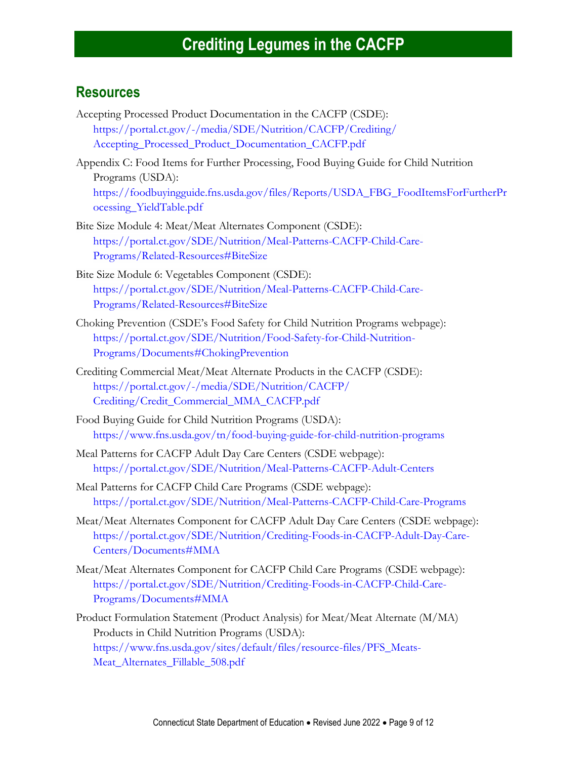### **Resources**

- Accepting Processed Product Documentation in the CACFP (CSDE): [https://portal.ct.gov/-/media/SDE/Nutrition/CACFP/Crediting/](https://portal.ct.gov/-/media/SDE/Nutrition/CACFP/Crediting/Accepting_Processed_Product_Documentation_CACFP.pdf) [Accepting\\_Processed\\_Product\\_Documentation\\_CACFP.pdf](https://portal.ct.gov/-/media/SDE/Nutrition/CACFP/Crediting/Accepting_Processed_Product_Documentation_CACFP.pdf)
- Appendix C: Food Items for Further Processing, Food Buying Guide for Child Nutrition Programs (USDA): [https://foodbuyingguide.fns.usda.gov/files/Reports/USDA\\_FBG\\_FoodItemsForFurtherPr](https://foodbuyingguide.fns.usda.gov/files/Reports/USDA_FBG_FoodItemsForFurtherProcessing_YieldTable.pdf) [ocessing\\_YieldTable.pdf](https://foodbuyingguide.fns.usda.gov/files/Reports/USDA_FBG_FoodItemsForFurtherProcessing_YieldTable.pdf)
- Bite Size Module 4: Meat/Meat Alternates Component (CSDE): [https://portal.ct.gov/SDE/Nutrition/Meal-Patterns-CACFP-Child-Care-](https://portal.ct.gov/SDE/Nutrition/Meal-Patterns-CACFP-Child-Care-Programs/Related-Resources#BiteSize)[Programs/Related-Resources#BiteSize](https://portal.ct.gov/SDE/Nutrition/Meal-Patterns-CACFP-Child-Care-Programs/Related-Resources#BiteSize)
- Bite Size Module 6: Vegetables Component (CSDE): [https://portal.ct.gov/SDE/Nutrition/Meal-Patterns-CACFP-Child-Care-](https://portal.ct.gov/SDE/Nutrition/Meal-Patterns-CACFP-Child-Care-Programs/Related-Resources#BiteSize)[Programs/Related-Resources#BiteSize](https://portal.ct.gov/SDE/Nutrition/Meal-Patterns-CACFP-Child-Care-Programs/Related-Resources#BiteSize)
- Choking Prevention (CSDE's Food Safety for Child Nutrition Programs webpage): [https://portal.ct.gov/SDE/Nutrition/Food-Safety-for-Child-Nutrition-](https://portal.ct.gov/SDE/Nutrition/Food-Safety-for-Child-Nutrition-Programs/Documents#ChokingPrevention)[Programs/Documents#ChokingPrevention](https://portal.ct.gov/SDE/Nutrition/Food-Safety-for-Child-Nutrition-Programs/Documents#ChokingPrevention)
- Crediting Commercial Meat/Meat Alternate Products in the CACFP (CSDE): [https://portal.ct.gov/-/media/SDE/Nutrition/CACFP/](https://portal.ct.gov/-/media/SDE/Nutrition/CACFP/‌Crediting/Credit_Commercial_MMA_CACFP.pdf) [Crediting/Credit\\_Commercial\\_MMA\\_CACFP.pdf](https://portal.ct.gov/-/media/SDE/Nutrition/CACFP/‌Crediting/Credit_Commercial_MMA_CACFP.pdf)
- Food Buying Guide for Child Nutrition Programs (USDA): <https://www.fns.usda.gov/tn/food-buying-guide-for-child-nutrition-programs>
- Meal Patterns for CACFP Adult Day Care Centers (CSDE webpage): [https://portal.ct.gov/SDE/Nutrition/Meal-Patterns-CACFP-Adult-Centers](http://portal.ct.gov/SDE/Nutrition/Meal-Patterns-CACFP-Adult-Centers)
- Meal Patterns for CACFP Child Care Programs (CSDE webpage): [https://portal.ct.gov/SDE/Nutrition/Meal-Patterns-CACFP-Child-Care-Programs](http://portal.ct.gov/SDE/Nutrition/Meal-Patterns-CACFP-Child-Care-Programs)
- Meat/Meat Alternates Component for CACFP Adult Day Care Centers (CSDE webpage): [https://portal.ct.gov/SDE/Nutrition/Crediting-Foods-in-CACFP-Adult-Day-Care-](https://portal.ct.gov/SDE/Nutrition/Crediting-Foods-in-CACFP-Adult-Day-Care-Centers/Documents#MMA)[Centers/Documents#MMA](https://portal.ct.gov/SDE/Nutrition/Crediting-Foods-in-CACFP-Adult-Day-Care-Centers/Documents#MMA)
- Meat/Meat Alternates Component for CACFP Child Care Programs (CSDE webpage): [https://portal.ct.gov/SDE/Nutrition/Crediting-Foods-in-CACFP-Child-Care-](https://portal.ct.gov/SDE/Nutrition/Crediting-Foods-in-CACFP-Child-Care-Programs/Documents#MMA)[Programs/Documents#MMA](https://portal.ct.gov/SDE/Nutrition/Crediting-Foods-in-CACFP-Child-Care-Programs/Documents#MMA)
- Product Formulation Statement (Product Analysis) for Meat/Meat Alternate (M/MA) Products in Child Nutrition Programs (USDA): [https://www.fns.usda.gov/sites/default/files/resource-files/PFS\\_Meats-](https://www.fns.usda.gov/sites/default/files/resource-files/PFS_Meats-Meat_Alternates_Fillable_508.pdf)[Meat\\_Alternates\\_Fillable\\_508.pdf](https://www.fns.usda.gov/sites/default/files/resource-files/PFS_Meats-Meat_Alternates_Fillable_508.pdf)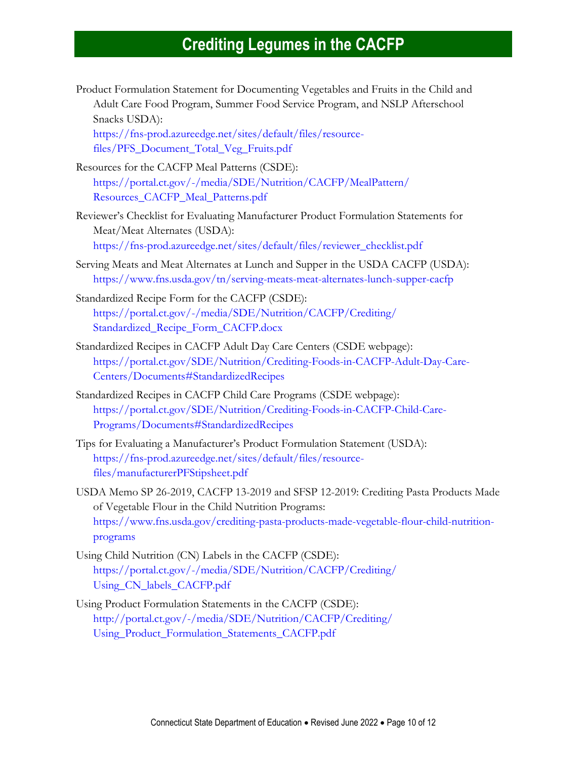Product Formulation Statement for Documenting Vegetables and Fruits in the Child and Adult Care Food Program, Summer Food Service Program, and NSLP Afterschool Snacks USDA):

[https://fns-prod.azureedge.net/sites/default/files/resource](https://fns-prod.azureedge.net/sites/default/files/resource-files/PFS_Document_Total_Veg_Fruits.pdf)[files/PFS\\_Document\\_Total\\_Veg\\_Fruits.pdf](https://fns-prod.azureedge.net/sites/default/files/resource-files/PFS_Document_Total_Veg_Fruits.pdf)

- Resources for the CACFP Meal Patterns (CSDE): [https://portal.ct.gov/-/media/SDE/Nutrition/CACFP/MealPattern/](https://portal.ct.gov/-/media/SDE/Nutrition/CACFP/MealPattern/Resources_CACFP_Meal_Patterns.pdf) [Resources\\_CACFP\\_Meal\\_Patterns.pdf](https://portal.ct.gov/-/media/SDE/Nutrition/CACFP/MealPattern/Resources_CACFP_Meal_Patterns.pdf)
- Reviewer's Checklist for Evaluating Manufacturer Product Formulation Statements for Meat/Meat Alternates (USDA): [https://fns-prod.azureedge.net/sites/default/files/reviewer\\_checklist.pdf](https://fns-prod.azureedge.net/sites/default/files/reviewer_checklist.pdf)
- Serving Meats and Meat Alternates at Lunch and Supper in the USDA CACFP (USDA): <https://www.fns.usda.gov/tn/serving-meats-meat-alternates-lunch-supper-cacfp>
- Standardized Recipe Form for the CACFP (CSDE): [https://portal.ct.gov/-/media/SDE/Nutrition/CACFP/Crediting/](https://portal.ct.gov/-/media/SDE/Nutrition/CACFP/Crediting/Standardized_Recipe_Form_CACFP.docx) [Standardized\\_Recipe\\_Form\\_CACFP.docx](https://portal.ct.gov/-/media/SDE/Nutrition/CACFP/Crediting/Standardized_Recipe_Form_CACFP.docx)
- Standardized Recipes in CACFP Adult Day Care Centers (CSDE webpage): [https://portal.ct.gov/SDE/Nutrition/Crediting-Foods-in-CACFP-Adult-Day-Care-](https://portal.ct.gov/SDE/Nutrition/Crediting-Foods-in-CACFP-Adult-Day-Care-Centers/Documents#StandardizedRecipes)[Centers/Documents#StandardizedRecipes](https://portal.ct.gov/SDE/Nutrition/Crediting-Foods-in-CACFP-Adult-Day-Care-Centers/Documents#StandardizedRecipes)
- Standardized Recipes in CACFP Child Care Programs (CSDE webpage): [https://portal.ct.gov/SDE/Nutrition/Crediting-Foods-in-CACFP-Child-Care-](https://portal.ct.gov/SDE/Nutrition/Crediting-Foods-in-CACFP-Child-Care-Programs/Documents#StandardizedRecipes)[Programs/Documents#StandardizedRecipes](https://portal.ct.gov/SDE/Nutrition/Crediting-Foods-in-CACFP-Child-Care-Programs/Documents#StandardizedRecipes)
- Tips for Evaluating a Manufacturer's Product Formulation Statement (USDA): [https://fns-prod.azureedge.net/sites/default/files/resource](https://fns-prod.azureedge.net/sites/default/files/resource-files/manufacturerPFStipsheet.pdf)[files/manufacturerPFStipsheet.pdf](https://fns-prod.azureedge.net/sites/default/files/resource-files/manufacturerPFStipsheet.pdf)
- USDA Memo SP 26-2019, CACFP 13-2019 and SFSP 12-2019: Crediting Pasta Products Made of Vegetable Flour in the Child Nutrition Programs: [https://www.fns.usda.gov/crediting-pasta-products-made-vegetable-flour-child-nutrition](https://www.fns.usda.gov/crediting-pasta-products-made-vegetable-flour-child-nutrition-programs)[programs](https://www.fns.usda.gov/crediting-pasta-products-made-vegetable-flour-child-nutrition-programs)
- Using Child Nutrition (CN) Labels in the CACFP (CSDE): [https://portal.ct.gov/-/media/SDE/Nutrition/CACFP/Crediting/](https://portal.ct.gov/-/media/SDE/Nutrition/CACFP/Crediting/‌Using_CN_labels_CACFP.pdf) [Using\\_CN\\_labels\\_CACFP.pdf](https://portal.ct.gov/-/media/SDE/Nutrition/CACFP/Crediting/‌Using_CN_labels_CACFP.pdf)
- Using Product Formulation Statements in the CACFP (CSDE): [http://portal.ct.gov/-/media/SDE/Nutrition/CACFP/Crediting/](http://portal.ct.gov/-/media/SDE/Nutrition/CACFP/Crediting/Using_Product_Formulation_Statements_CACFP.pdf) [Using\\_Product\\_Formulation\\_Statements\\_CACFP.pdf](http://portal.ct.gov/-/media/SDE/Nutrition/CACFP/Crediting/Using_Product_Formulation_Statements_CACFP.pdf)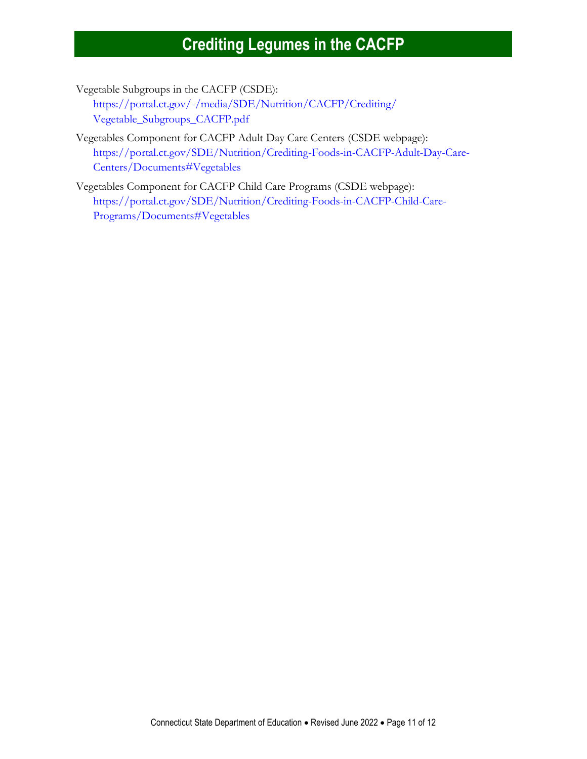Vegetable Subgroups in the CACFP (CSDE):

[https://portal.ct.gov/-/media/SDE/Nutrition/CACFP/Crediting/](https://portal.ct.gov/-/media/SDE/Nutrition/CACFP/Crediting/‌Vegetable_Subgroups_CACFP.pdf) [Vegetable\\_Subgroups\\_CACFP.pdf](https://portal.ct.gov/-/media/SDE/Nutrition/CACFP/Crediting/‌Vegetable_Subgroups_CACFP.pdf)

Vegetables Component for CACFP Adult Day Care Centers (CSDE webpage): [https://portal.ct.gov/SDE/Nutrition/Crediting-Foods-in-CACFP-Adult-Day-Care-](https://portal.ct.gov/SDE/Nutrition/Crediting-Foods-in-CACFP-Adult-Day-Care-Centers/Documents#Vegetables)[Centers/Documents#Vegetables](https://portal.ct.gov/SDE/Nutrition/Crediting-Foods-in-CACFP-Adult-Day-Care-Centers/Documents#Vegetables) 

Vegetables Component for CACFP Child Care Programs (CSDE webpage): [https://portal.ct.gov/SDE/Nutrition/Crediting-Foods-in-CACFP-Child-Care-](https://portal.ct.gov/SDE/Nutrition/Crediting-Foods-in-CACFP-Child-Care-Programs/Documents#Vegetables)[Programs/Documents#Vegetables](https://portal.ct.gov/SDE/Nutrition/Crediting-Foods-in-CACFP-Child-Care-Programs/Documents#Vegetables)